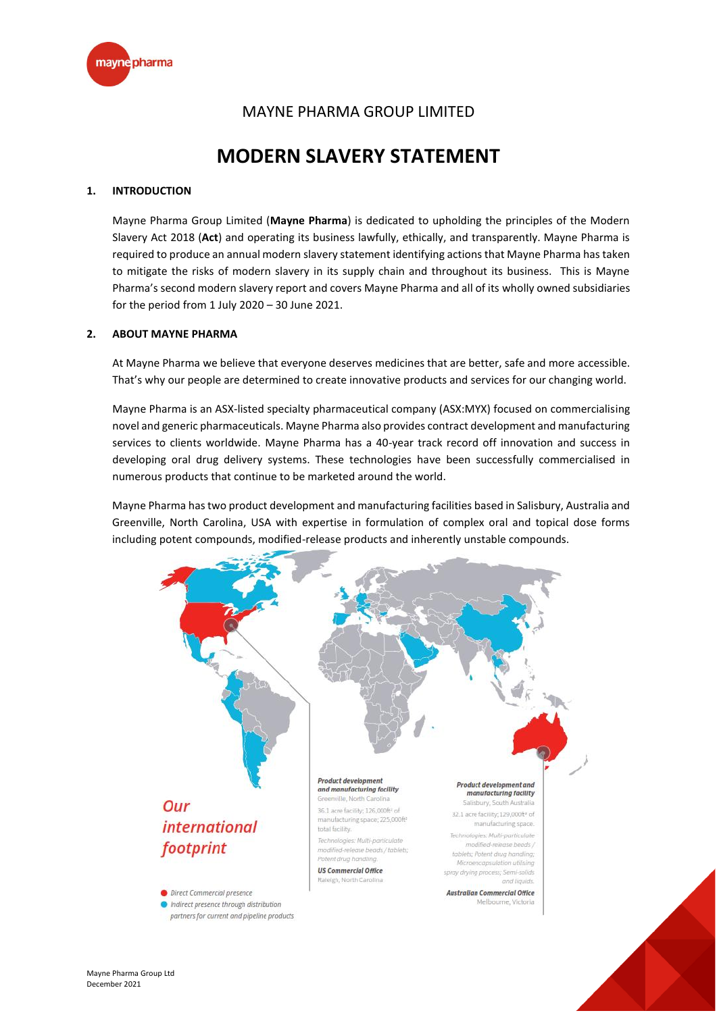

## MAYNE PHARMA GROUP LIMITED

# **MODERN SLAVERY STATEMENT**

### **1. INTRODUCTION**

Mayne Pharma Group Limited (**Mayne Pharma**) is dedicated to upholding the principles of the Modern Slavery Act 2018 (**Act**) and operating its business lawfully, ethically, and transparently. Mayne Pharma is required to produce an annual modern slavery statement identifying actions that Mayne Pharma has taken to mitigate the risks of modern slavery in its supply chain and throughout its business. This is Mayne Pharma's second modern slavery report and covers Mayne Pharma and all of its wholly owned subsidiaries for the period from 1 July 2020 – 30 June 2021.

#### **2. ABOUT MAYNE PHARMA**

At Mayne Pharma we believe that everyone deserves medicines that are better, safe and more accessible. That's why our people are determined to create innovative products and services for our changing world.

Mayne Pharma is an ASX-listed specialty pharmaceutical company (ASX:MYX) focused on commercialising novel and generic pharmaceuticals. Mayne Pharma also provides contract development and manufacturing services to clients worldwide. Mayne Pharma has a 40-year track record off innovation and success in developing oral drug delivery systems. These technologies have been successfully commercialised in numerous products that continue to be marketed around the world.

Mayne Pharma has two product development and manufacturing facilities based in Salisbury, Australia and Greenville, North Carolina, USA with expertise in formulation of complex oral and topical dose forms including potent compounds, modified-release products and inherently unstable compounds.

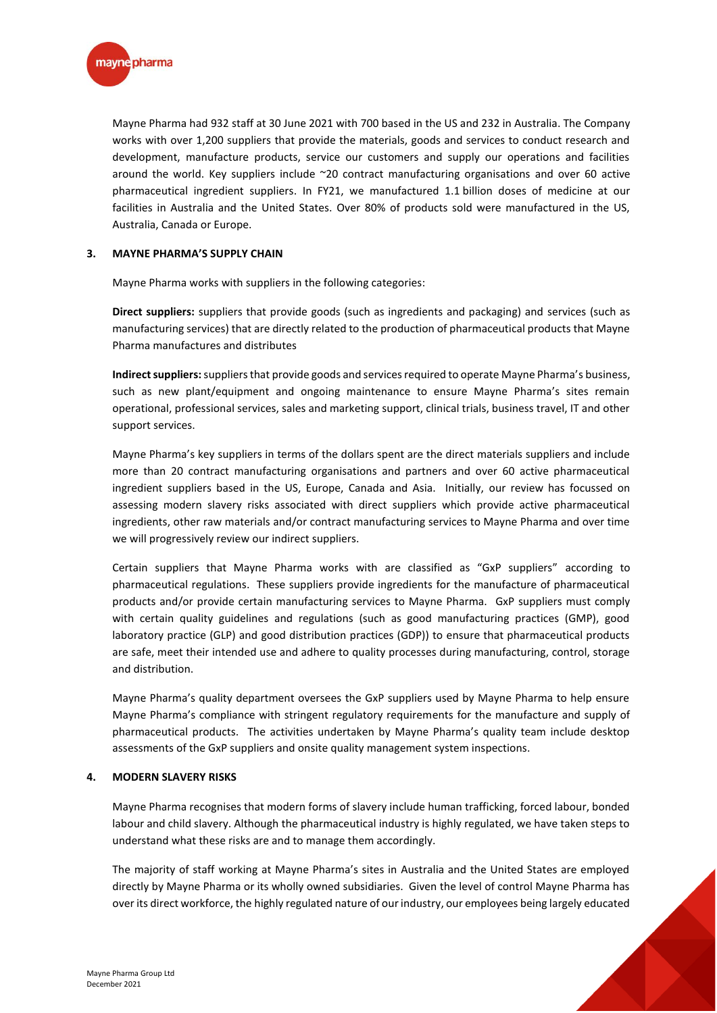

Mayne Pharma had 932 staff at 30 June 2021 with 700 based in the US and 232 in Australia. The Company works with over 1,200 suppliers that provide the materials, goods and services to conduct research and development, manufacture products, service our customers and supply our operations and facilities around the world. Key suppliers include ~20 contract manufacturing organisations and over 60 active pharmaceutical ingredient suppliers. In FY21, we manufactured 1.1 billion doses of medicine at our facilities in Australia and the United States. Over 80% of products sold were manufactured in the US, Australia, Canada or Europe.

#### **3. MAYNE PHARMA'S SUPPLY CHAIN**

Mayne Pharma works with suppliers in the following categories:

**Direct suppliers:** suppliers that provide goods (such as ingredients and packaging) and services (such as manufacturing services) that are directly related to the production of pharmaceutical products that Mayne Pharma manufactures and distributes

**Indirect suppliers:**suppliers that provide goods and services required to operate Mayne Pharma's business, such as new plant/equipment and ongoing maintenance to ensure Mayne Pharma's sites remain operational, professional services, sales and marketing support, clinical trials, business travel, IT and other support services.

Mayne Pharma's key suppliers in terms of the dollars spent are the direct materials suppliers and include more than 20 contract manufacturing organisations and partners and over 60 active pharmaceutical ingredient suppliers based in the US, Europe, Canada and Asia. Initially, our review has focussed on assessing modern slavery risks associated with direct suppliers which provide active pharmaceutical ingredients, other raw materials and/or contract manufacturing services to Mayne Pharma and over time we will progressively review our indirect suppliers.

Certain suppliers that Mayne Pharma works with are classified as "GxP suppliers" according to pharmaceutical regulations. These suppliers provide ingredients for the manufacture of pharmaceutical products and/or provide certain manufacturing services to Mayne Pharma. GxP suppliers must comply with certain quality guidelines and regulations (such as good manufacturing practices (GMP), good laboratory practice (GLP) and good distribution practices (GDP)) to ensure that pharmaceutical products are safe, meet their intended use and adhere to quality processes during manufacturing, control, storage and distribution.

Mayne Pharma's quality department oversees the GxP suppliers used by Mayne Pharma to help ensure Mayne Pharma's compliance with stringent regulatory requirements for the manufacture and supply of pharmaceutical products. The activities undertaken by Mayne Pharma's quality team include desktop assessments of the GxP suppliers and onsite quality management system inspections.

#### **4. MODERN SLAVERY RISKS**

Mayne Pharma recognises that modern forms of slavery include human trafficking, forced labour, bonded labour and child slavery. Although the pharmaceutical industry is highly regulated, we have taken steps to understand what these risks are and to manage them accordingly.

The majority of staff working at Mayne Pharma's sites in Australia and the United States are employed directly by Mayne Pharma or its wholly owned subsidiaries. Given the level of control Mayne Pharma has over its direct workforce, the highly regulated nature of our industry, our employees being largely educated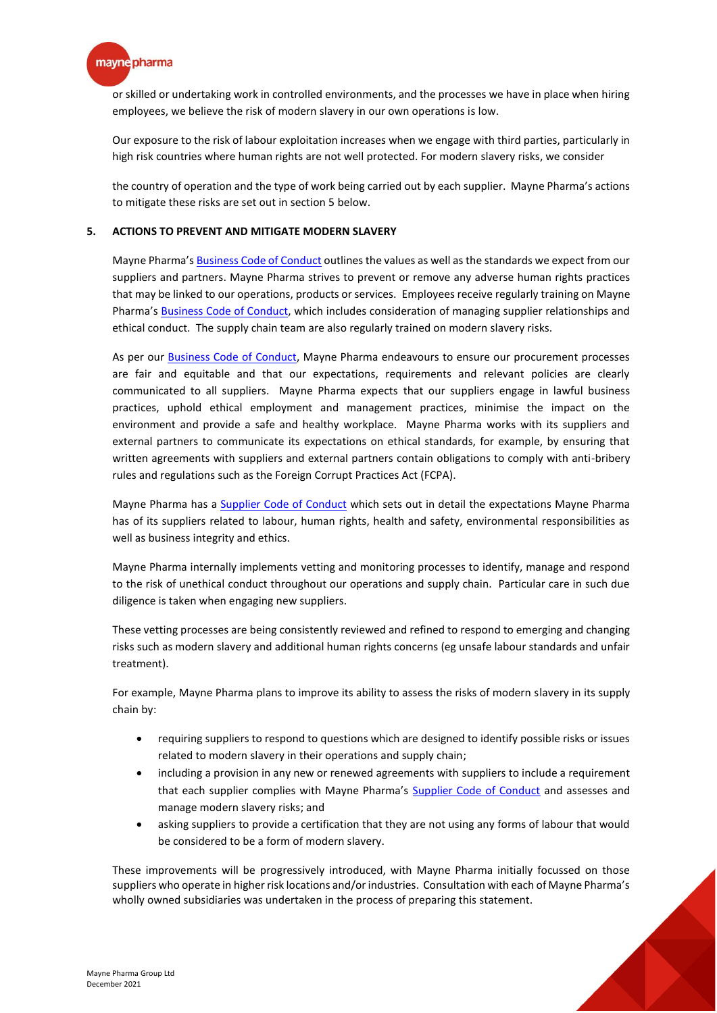

or skilled or undertaking work in controlled environments, and the processes we have in place when hiring employees, we believe the risk of modern slavery in our own operations is low.

Our exposure to the risk of labour exploitation increases when we engage with third parties, particularly in high risk countries where human rights are not well protected. For modern slavery risks, we consider

the country of operation and the type of work being carried out by each supplier. Mayne Pharma's actions to mitigate these risks are set out in section 5 below.

#### **5. ACTIONS TO PREVENT AND MITIGATE MODERN SLAVERY**

Mayne Pharma's [Business Code of Conduct](http://www.maynepharma.com/media/2447/code-of-conduct-approved-29-sep-2020.pdf) outlines the values as well as the standards we expect from our suppliers and partners. Mayne Pharma strives to prevent or remove any adverse human rights practices that may be linked to our operations, products or services. Employees receive regularly training on Mayne Pharma's [Business Code of Conduct,](http://www.maynepharma.com/media/2447/code-of-conduct-approved-29-sep-2020.pdf) which includes consideration of managing supplier relationships and ethical conduct. The supply chain team are also regularly trained on modern slavery risks.

As per our [Business Code of Conduct,](http://www.maynepharma.com/media/2447/code-of-conduct-approved-29-sep-2020.pdf) Mayne Pharma endeavours to ensure our procurement processes are fair and equitable and that our expectations, requirements and relevant policies are clearly communicated to all suppliers. Mayne Pharma expects that our suppliers engage in lawful business practices, uphold ethical employment and management practices, minimise the impact on the environment and provide a safe and healthy workplace. Mayne Pharma works with its suppliers and external partners to communicate its expectations on ethical standards, for example, by ensuring that written agreements with suppliers and external partners contain obligations to comply with anti-bribery rules and regulations such as the Foreign Corrupt Practices Act (FCPA).

Mayne Pharma has a [Supplier Code of Conduct](http://www.maynepharma.com/media/2502/supplier-code-of-conduct.pdf) which sets out in detail the expectations Mayne Pharma has of its suppliers related to labour, human rights, health and safety, environmental responsibilities as well as business integrity and ethics.

Mayne Pharma internally implements vetting and monitoring processes to identify, manage and respond to the risk of unethical conduct throughout our operations and supply chain. Particular care in such due diligence is taken when engaging new suppliers.

These vetting processes are being consistently reviewed and refined to respond to emerging and changing risks such as modern slavery and additional human rights concerns (eg unsafe labour standards and unfair treatment).

For example, Mayne Pharma plans to improve its ability to assess the risks of modern slavery in its supply chain by:

- requiring suppliers to respond to questions which are designed to identify possible risks or issues related to modern slavery in their operations and supply chain;
- including a provision in any new or renewed agreements with suppliers to include a requirement that each supplier complies with Mayne Pharma's [Supplier Code of Conduct](http://www.maynepharma.com/media/2502/supplier-code-of-conduct.pdf) and assesses and manage modern slavery risks; and
- asking suppliers to provide a certification that they are not using any forms of labour that would be considered to be a form of modern slavery.

These improvements will be progressively introduced, with Mayne Pharma initially focussed on those suppliers who operate in higher risk locations and/or industries. Consultation with each of Mayne Pharma's wholly owned subsidiaries was undertaken in the process of preparing this statement.